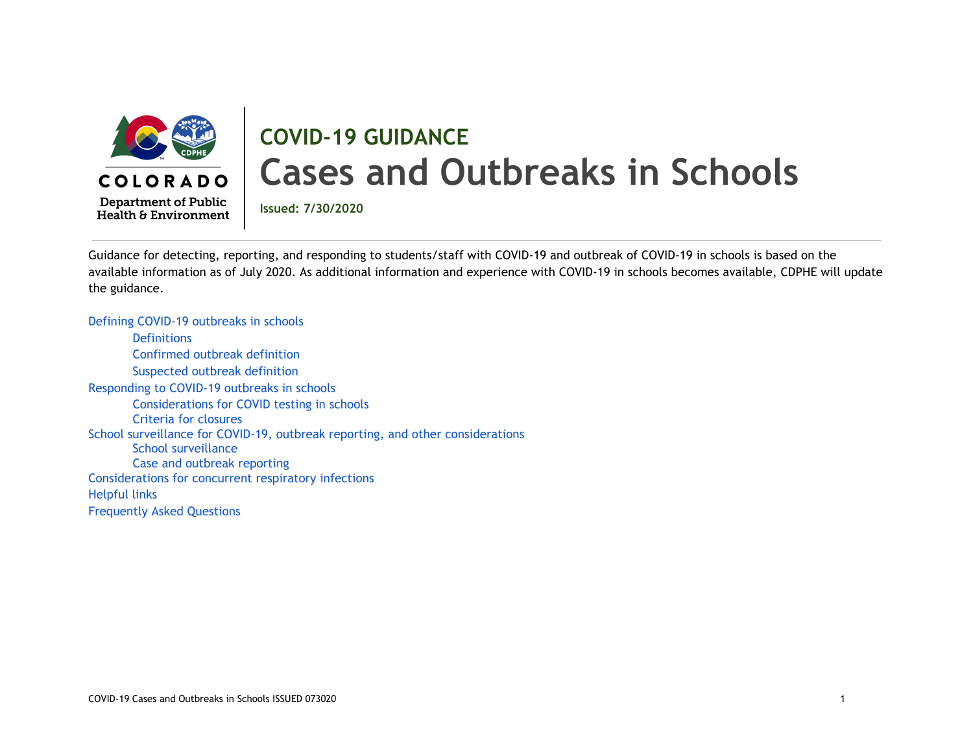

# **COVID-19 GUIDANCE Cases and Outbreaks in Schools**

**Department of Public** Health & Environment

**Issued: 7/30/2020**

Guidance for detecting, reporting, and responding to students/staff with COVID-19 and outbreak of COVID-19 in schools is based on the available information as of July 2020. As additional information and experience with COVID-19 in schools becomes available, CDPHE will update the guidance.

Defining COVID-19 [outbreaks](#page-1-0) in schools **[Definitions](#page-1-1)** [Confirmed](#page-2-0) outbreak definition [Suspected](#page-2-1) outbreak definition [Responding](#page-3-0) to COVID-19 outbreaks in schools [Considerations](#page-8-0) for COVID testing in schools Criteria for [closures](#page-8-1) School surveillance for COVID-19, outbreak reporting, and other [considerations](#page-9-0) School [surveillance](#page-9-1) Case and outbreak [reporting](#page-10-0) [Considerations](#page-11-0) for concurrent respiratory infections Helpful links [Frequently](#page-12-0) Asked Questions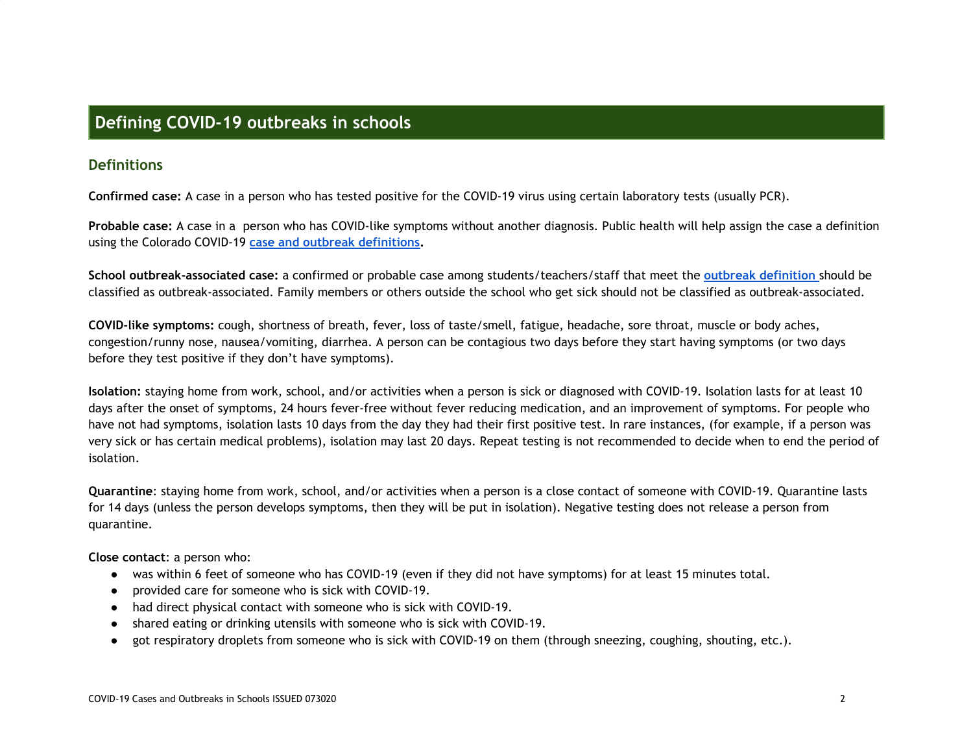### <span id="page-1-0"></span>**Defining COVID-19 outbreaks in schools**

### <span id="page-1-1"></span>**Definitions**

**Confirmed case:** A case in a person who has tested positive for the COVID-19 virus using certain laboratory tests (usually PCR).

**Probable case:** A case in a person who has COVID-like symptoms without another diagnosis. Public health will help assign the case a definition using the Colorado COVID-19 **case and outbreak [definitions.](https://docs.google.com/document/d/1e-IWLtzJNCgI2gzPONGvEASGgse85WuBmcToc9ev-74/edit)**

**School outbreak-associated case:** a confirmed or probable case among students/teachers/staff that meet the **outbreak [definition](https://docs.google.com/document/d/1e-IWLtzJNCgI2gzPONGvEASGgse85WuBmcToc9ev-74/edit)** should be classified as outbreak-associated. Family members or others outside the school who get sick should not be classified as outbreak-associated.

**COVID-like symptoms:** cough, shortness of breath, fever, loss of taste/smell, fatigue, headache, sore throat, muscle or body aches, congestion/runny nose, nausea/vomiting, diarrhea. A person can be contagious two days before they start having symptoms (or two days before they test positive if they don't have symptoms).

**Isolation:** staying home from work, school, and/or activities when a person is sick or diagnosed with COVID-19. Isolation lasts for at least 10 days after the onset of symptoms, 24 hours fever-free without fever reducing medication, and an improvement of symptoms. For people who have not had symptoms, isolation lasts 10 days from the day they had their first positive test. In rare instances, (for example, if a person was very sick or has certain medical problems), isolation may last 20 days. Repeat testing is not recommended to decide when to end the period of isolation.

**Quarantine**: staying home from work, school, and/or activities when a person is a close contact of someone with COVID-19. Quarantine lasts for 14 days (unless the person develops symptoms, then they will be put in isolation). Negative testing does not release a person from quarantine.

**Close contact**: a person who:

- was within 6 feet of someone who has COVID-19 (even if they did not have symptoms) for at least 15 minutes total.
- provided care for someone who is sick with COVID-19.
- had direct physical contact with someone who is sick with COVID-19.
- shared eating or drinking utensils with someone who is sick with COVID-19.
- got respiratory droplets from someone who is sick with COVID-19 on them (through sneezing, coughing, shouting, etc.).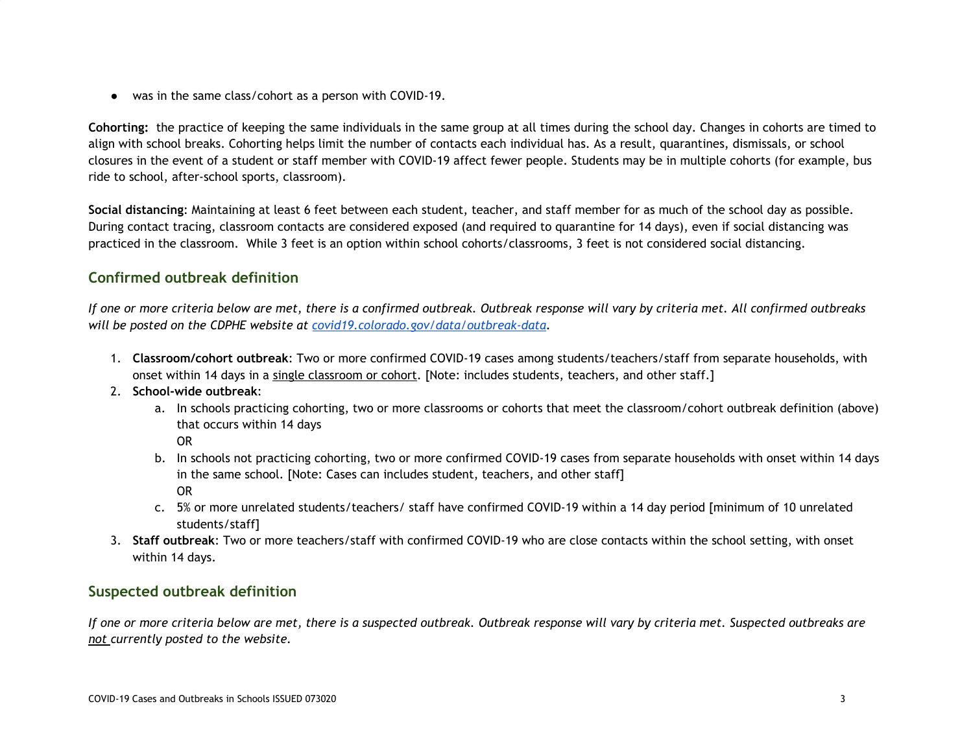● was in the same class/cohort as a person with COVID-19.

**Cohorting:** the practice of keeping the same individuals in the same group at all times during the school day. Changes in cohorts are timed to align with school breaks. Cohorting helps limit the number of contacts each individual has. As a result, quarantines, dismissals, or school closures in the event of a student or staff member with COVID-19 affect fewer people. Students may be in multiple cohorts (for example, bus ride to school, after-school sports, classroom).

**Social distancing**: Maintaining at least 6 feet between each student, teacher, and staff member for as much of the school day as possible. During contact tracing, classroom contacts are considered exposed (and required to quarantine for 14 days), even if social distancing was practiced in the classroom. While 3 feet is an option within school cohorts/classrooms, 3 feet is not considered social distancing.

### <span id="page-2-0"></span>**Confirmed outbreak definition**

If one or more criteria below are met, there is a confirmed outbreak. Outbreak response will vary by criteria met. All confirmed outbreaks *will be posted on the CDPHE website at [covid19.colorado.gov/data/outbreak-data.](https://covid19.colorado.gov/data/outbreak-data)*

- 1. **Classroom/cohort outbreak**: Two or more confirmed COVID-19 cases among students/teachers/staff from separate households, with onset within 14 days in a single classroom or cohort. [Note: includes students, teachers, and other staff.]
- 2. **School-wide outbreak**:
	- a. In schools practicing cohorting, two or more classrooms or cohorts that meet the classroom/cohort outbreak definition (above) that occurs within 14 days

OR

- b. In schools not practicing cohorting, two or more confirmed COVID-19 cases from separate households with onset within 14 days in the same school. [Note: Cases can includes student, teachers, and other staff] OR
- c. 5% or more unrelated students/teachers/ staff have confirmed COVID-19 within a 14 day period [minimum of 10 unrelated students/staff]
- 3. **Staff outbreak**: Two or more teachers/staff with confirmed COVID-19 who are close contacts within the school setting, with onset within 14 days.

### <span id="page-2-1"></span>**Suspected outbreak definition**

If one or more criteria below are met, there is a suspected outbreak. Outbreak response will vary by criteria met. Suspected outbreaks are *not currently posted to the website.*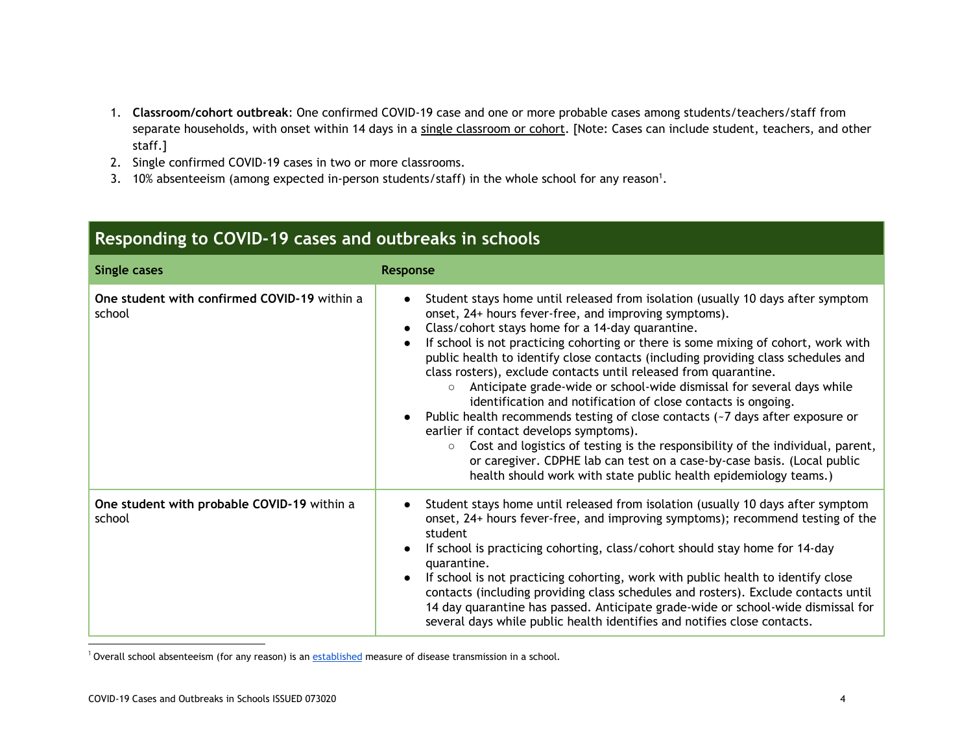- 1. **Classroom/cohort outbreak**: One confirmed COVID-19 case and one or more probable cases among students/teachers/staff from separate households, with onset within 14 days in a single classroom or cohort. [Note: Cases can include student, teachers, and other staff.]
- 2. Single confirmed COVID-19 cases in two or more classrooms.
- 3.  $10\%$  absenteeism (among expected in-person students/staff) in the whole school for any reason<sup>1</sup>.

# <span id="page-3-0"></span>**Responding to COVID-19 cases and outbreaks in schools**

| <b>Single cases</b>                                    | <b>Response</b>                                                                                                                                                                                                                                                                                                                                                                                                                                                                                                                                                                                                                                                                                                                                                                                                                                                                                                                                                            |
|--------------------------------------------------------|----------------------------------------------------------------------------------------------------------------------------------------------------------------------------------------------------------------------------------------------------------------------------------------------------------------------------------------------------------------------------------------------------------------------------------------------------------------------------------------------------------------------------------------------------------------------------------------------------------------------------------------------------------------------------------------------------------------------------------------------------------------------------------------------------------------------------------------------------------------------------------------------------------------------------------------------------------------------------|
| One student with confirmed COVID-19 within a<br>school | Student stays home until released from isolation (usually 10 days after symptom<br>onset, 24+ hours fever-free, and improving symptoms).<br>Class/cohort stays home for a 14-day quarantine.<br>If school is not practicing cohorting or there is some mixing of cohort, work with<br>public health to identify close contacts (including providing class schedules and<br>class rosters), exclude contacts until released from quarantine.<br>Anticipate grade-wide or school-wide dismissal for several days while<br>$\circ$<br>identification and notification of close contacts is ongoing.<br>Public health recommends testing of close contacts $(-7)$ days after exposure or<br>earlier if contact develops symptoms).<br>Cost and logistics of testing is the responsibility of the individual, parent,<br>$\circ$<br>or caregiver. CDPHE lab can test on a case-by-case basis. (Local public<br>health should work with state public health epidemiology teams.) |
| One student with probable COVID-19 within a<br>school  | Student stays home until released from isolation (usually 10 days after symptom<br>onset, 24+ hours fever-free, and improving symptoms); recommend testing of the<br>student<br>If school is practicing cohorting, class/cohort should stay home for 14-day<br>quarantine.<br>If school is not practicing cohorting, work with public health to identify close<br>contacts (including providing class schedules and rosters). Exclude contacts until<br>14 day quarantine has passed. Anticipate grade-wide or school-wide dismissal for<br>several days while public health identifies and notifies close contacts.                                                                                                                                                                                                                                                                                                                                                       |

<sup>1</sup> Overall school absenteeism (for any reason) is an [established](https://www.ncbi.nlm.nih.gov/pmc/articles/PMC4114464/) measure of disease transmission in a school.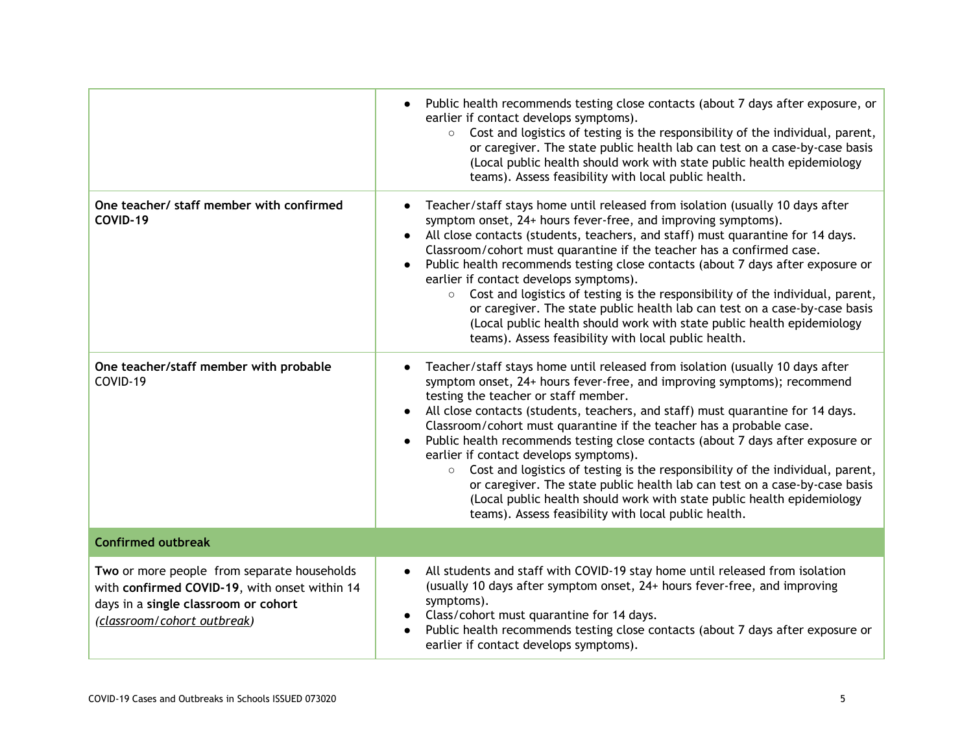|                                                                                                                                                                     | Public health recommends testing close contacts (about 7 days after exposure, or<br>earlier if contact develops symptoms).<br>$\circ$ Cost and logistics of testing is the responsibility of the individual, parent,<br>or caregiver. The state public health lab can test on a case-by-case basis<br>(Local public health should work with state public health epidemiology<br>teams). Assess feasibility with local public health.                                                                                                                                                                                                                                                                                                                                                                  |
|---------------------------------------------------------------------------------------------------------------------------------------------------------------------|-------------------------------------------------------------------------------------------------------------------------------------------------------------------------------------------------------------------------------------------------------------------------------------------------------------------------------------------------------------------------------------------------------------------------------------------------------------------------------------------------------------------------------------------------------------------------------------------------------------------------------------------------------------------------------------------------------------------------------------------------------------------------------------------------------|
| One teacher/ staff member with confirmed<br>COVID-19                                                                                                                | Teacher/staff stays home until released from isolation (usually 10 days after<br>symptom onset, 24+ hours fever-free, and improving symptoms).<br>All close contacts (students, teachers, and staff) must quarantine for 14 days.<br>Classroom/cohort must quarantine if the teacher has a confirmed case.<br>Public health recommends testing close contacts (about 7 days after exposure or<br>earlier if contact develops symptoms).<br>Cost and logistics of testing is the responsibility of the individual, parent,<br>$\circ$<br>or caregiver. The state public health lab can test on a case-by-case basis<br>(Local public health should work with state public health epidemiology<br>teams). Assess feasibility with local public health.                                                  |
| One teacher/staff member with probable<br>COVID-19                                                                                                                  | Teacher/staff stays home until released from isolation (usually 10 days after<br>symptom onset, 24+ hours fever-free, and improving symptoms); recommend<br>testing the teacher or staff member.<br>All close contacts (students, teachers, and staff) must quarantine for 14 days.<br>Classroom/cohort must quarantine if the teacher has a probable case.<br>Public health recommends testing close contacts (about 7 days after exposure or<br>earlier if contact develops symptoms).<br>Cost and logistics of testing is the responsibility of the individual, parent,<br>$\circ$<br>or caregiver. The state public health lab can test on a case-by-case basis<br>(Local public health should work with state public health epidemiology<br>teams). Assess feasibility with local public health. |
| <b>Confirmed outbreak</b>                                                                                                                                           |                                                                                                                                                                                                                                                                                                                                                                                                                                                                                                                                                                                                                                                                                                                                                                                                       |
| Two or more people from separate households<br>with confirmed COVID-19, with onset within 14<br>days in a single classroom or cohort<br>(classroom/cohort outbreak) | All students and staff with COVID-19 stay home until released from isolation<br>(usually 10 days after symptom onset, 24+ hours fever-free, and improving<br>symptoms).<br>Class/cohort must quarantine for 14 days.<br>Public health recommends testing close contacts (about 7 days after exposure or<br>earlier if contact develops symptoms).                                                                                                                                                                                                                                                                                                                                                                                                                                                     |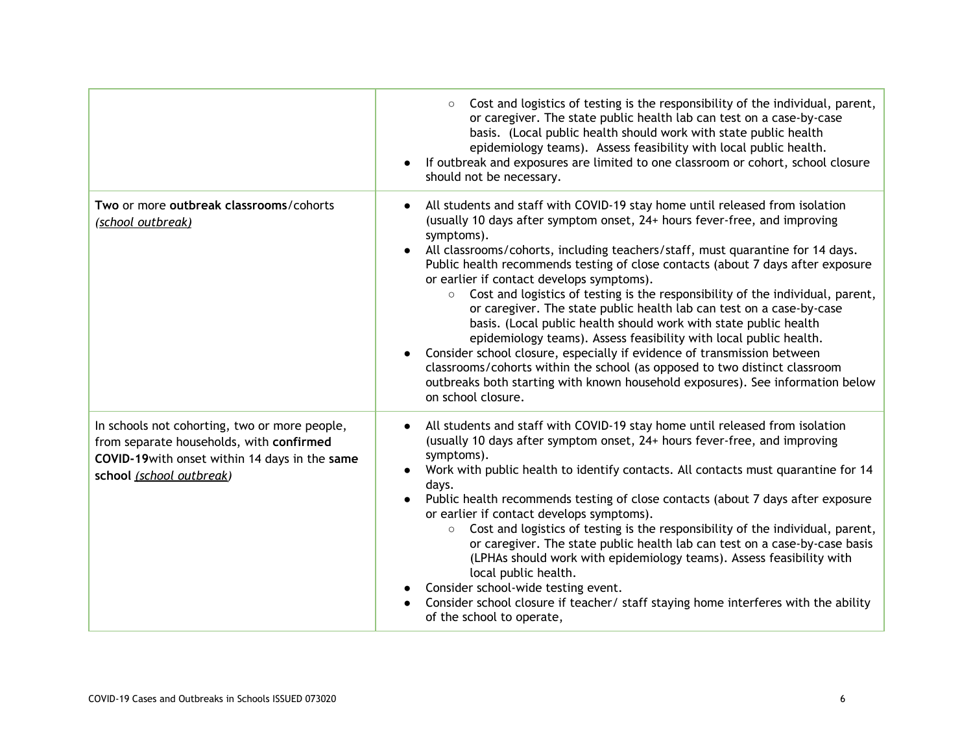|                                                                                                                                                                         | Cost and logistics of testing is the responsibility of the individual, parent,<br>$\circ$<br>or caregiver. The state public health lab can test on a case-by-case<br>basis. (Local public health should work with state public health<br>epidemiology teams). Assess feasibility with local public health.<br>If outbreak and exposures are limited to one classroom or cohort, school closure<br>should not be necessary.                                                                                                                                                                                                                                                                                                                                                                                                                                                                                                                                               |
|-------------------------------------------------------------------------------------------------------------------------------------------------------------------------|--------------------------------------------------------------------------------------------------------------------------------------------------------------------------------------------------------------------------------------------------------------------------------------------------------------------------------------------------------------------------------------------------------------------------------------------------------------------------------------------------------------------------------------------------------------------------------------------------------------------------------------------------------------------------------------------------------------------------------------------------------------------------------------------------------------------------------------------------------------------------------------------------------------------------------------------------------------------------|
| Two or more outbreak classrooms/cohorts<br>(school outbreak)                                                                                                            | All students and staff with COVID-19 stay home until released from isolation<br>(usually 10 days after symptom onset, 24+ hours fever-free, and improving<br>symptoms).<br>All classrooms/cohorts, including teachers/staff, must quarantine for 14 days.<br>Public health recommends testing of close contacts (about 7 days after exposure<br>or earlier if contact develops symptoms).<br>Cost and logistics of testing is the responsibility of the individual, parent,<br>$\circ$<br>or caregiver. The state public health lab can test on a case-by-case<br>basis. (Local public health should work with state public health<br>epidemiology teams). Assess feasibility with local public health.<br>Consider school closure, especially if evidence of transmission between<br>classrooms/cohorts within the school (as opposed to two distinct classroom<br>outbreaks both starting with known household exposures). See information below<br>on school closure. |
| In schools not cohorting, two or more people,<br>from separate households, with confirmed<br>COVID-19 with onset within 14 days in the same<br>school (school outbreak) | All students and staff with COVID-19 stay home until released from isolation<br>(usually 10 days after symptom onset, 24+ hours fever-free, and improving<br>symptoms).<br>Work with public health to identify contacts. All contacts must quarantine for 14<br>days.<br>Public health recommends testing of close contacts (about 7 days after exposure<br>or earlier if contact develops symptoms).<br>Cost and logistics of testing is the responsibility of the individual, parent,<br>$\circ$<br>or caregiver. The state public health lab can test on a case-by-case basis<br>(LPHAs should work with epidemiology teams). Assess feasibility with<br>local public health.<br>Consider school-wide testing event.<br>Consider school closure if teacher/ staff staying home interferes with the ability<br>of the school to operate,                                                                                                                               |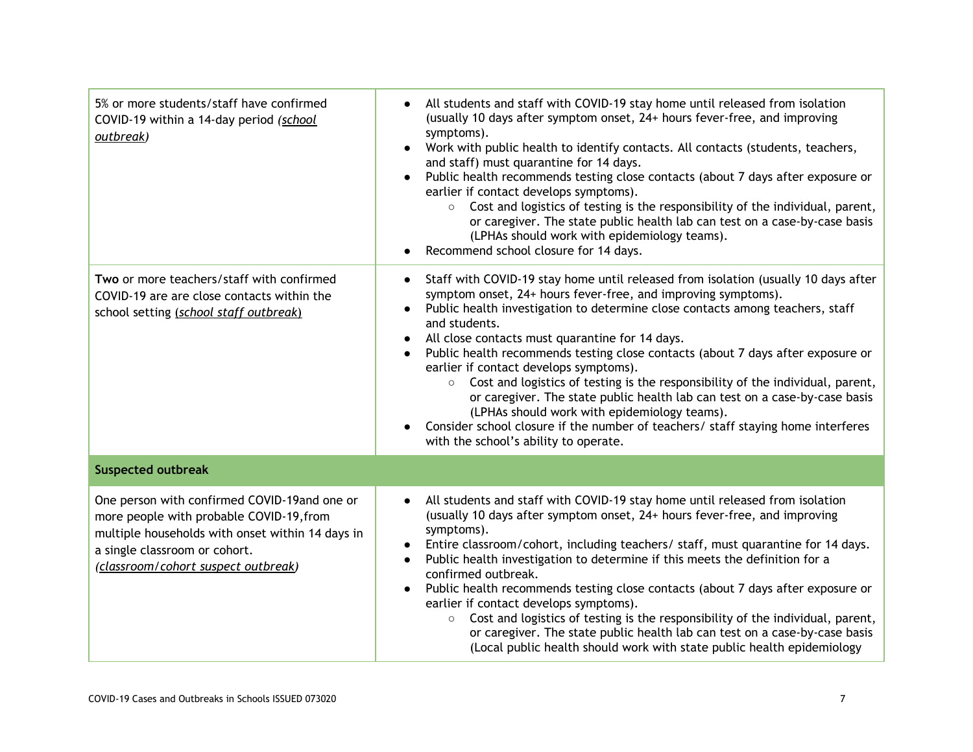| 5% or more students/staff have confirmed<br>COVID-19 within a 14-day period (school<br>outbreak)                                                                                                                     | All students and staff with COVID-19 stay home until released from isolation<br>(usually 10 days after symptom onset, 24+ hours fever-free, and improving<br>symptoms).<br>Work with public health to identify contacts. All contacts (students, teachers,<br>$\bullet$<br>and staff) must quarantine for 14 days.<br>Public health recommends testing close contacts (about 7 days after exposure or<br>earlier if contact develops symptoms).<br>Cost and logistics of testing is the responsibility of the individual, parent,<br>$\circ$<br>or caregiver. The state public health lab can test on a case-by-case basis<br>(LPHAs should work with epidemiology teams).<br>Recommend school closure for 14 days.                                                                                        |  |
|----------------------------------------------------------------------------------------------------------------------------------------------------------------------------------------------------------------------|------------------------------------------------------------------------------------------------------------------------------------------------------------------------------------------------------------------------------------------------------------------------------------------------------------------------------------------------------------------------------------------------------------------------------------------------------------------------------------------------------------------------------------------------------------------------------------------------------------------------------------------------------------------------------------------------------------------------------------------------------------------------------------------------------------|--|
| Two or more teachers/staff with confirmed<br>COVID-19 are are close contacts within the<br>school setting (school staff outbreak)                                                                                    | Staff with COVID-19 stay home until released from isolation (usually 10 days after<br>symptom onset, 24+ hours fever-free, and improving symptoms).<br>Public health investigation to determine close contacts among teachers, staff<br>$\bullet$<br>and students.<br>All close contacts must quarantine for 14 days.<br>Public health recommends testing close contacts (about 7 days after exposure or<br>earlier if contact develops symptoms).<br>Cost and logistics of testing is the responsibility of the individual, parent,<br>$\circ$<br>or caregiver. The state public health lab can test on a case-by-case basis<br>(LPHAs should work with epidemiology teams).<br>Consider school closure if the number of teachers/ staff staying home interferes<br>with the school's ability to operate. |  |
| <b>Suspected outbreak</b>                                                                                                                                                                                            |                                                                                                                                                                                                                                                                                                                                                                                                                                                                                                                                                                                                                                                                                                                                                                                                            |  |
| One person with confirmed COVID-19and one or<br>more people with probable COVID-19, from<br>multiple households with onset within 14 days in<br>a single classroom or cohort.<br>(classroom/cohort suspect outbreak) | All students and staff with COVID-19 stay home until released from isolation<br>$\bullet$<br>(usually 10 days after symptom onset, 24+ hours fever-free, and improving<br>symptoms).<br>Entire classroom/cohort, including teachers/ staff, must quarantine for 14 days.<br>$\bullet$<br>Public health investigation to determine if this meets the definition for a<br>confirmed outbreak.<br>Public health recommends testing close contacts (about 7 days after exposure or<br>$\bullet$<br>earlier if contact develops symptoms).<br>Cost and logistics of testing is the responsibility of the individual, parent,<br>$\circ$<br>or caregiver. The state public health lab can test on a case-by-case basis<br>(Local public health should work with state public health epidemiology                 |  |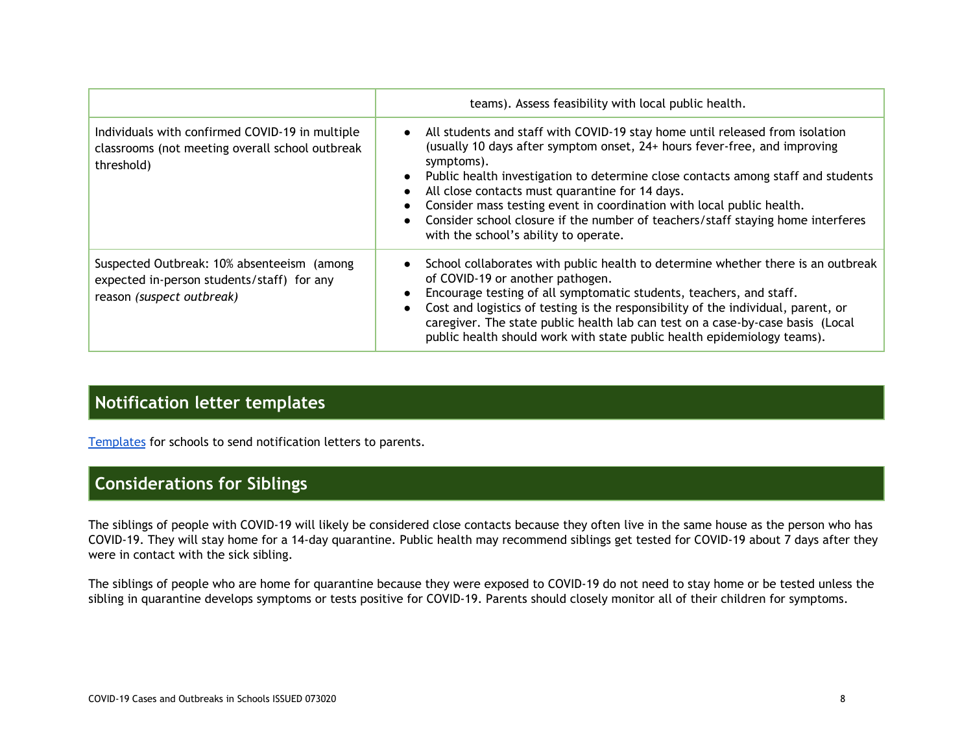|                                                                                                                       | teams). Assess feasibility with local public health.                                                                                                                                                                                                                                                                                                                                                                                                                                                                  |
|-----------------------------------------------------------------------------------------------------------------------|-----------------------------------------------------------------------------------------------------------------------------------------------------------------------------------------------------------------------------------------------------------------------------------------------------------------------------------------------------------------------------------------------------------------------------------------------------------------------------------------------------------------------|
| Individuals with confirmed COVID-19 in multiple<br>classrooms (not meeting overall school outbreak<br>threshold)      | • All students and staff with COVID-19 stay home until released from isolation<br>(usually 10 days after symptom onset, 24+ hours fever-free, and improving<br>symptoms).<br>Public health investigation to determine close contacts among staff and students<br>All close contacts must quarantine for 14 days.<br>Consider mass testing event in coordination with local public health.<br>Consider school closure if the number of teachers/staff staying home interferes<br>with the school's ability to operate. |
| Suspected Outbreak: 10% absenteeism (among<br>expected in-person students/staff) for any<br>reason (suspect outbreak) | School collaborates with public health to determine whether there is an outbreak<br>of COVID-19 or another pathogen.<br>Encourage testing of all symptomatic students, teachers, and staff.<br>Cost and logistics of testing is the responsibility of the individual, parent, or<br>caregiver. The state public health lab can test on a case-by-case basis (Local<br>public health should work with state public health epidemiology teams).                                                                         |

# **Notification letter templates**

[Templates](https://docs.google.com/document/d/12ktRu_o20L_fMp_8rkyeaI1CvdWaHqwjgAYCYBGFfjw/edit) for schools to send notification letters to parents.

# **Considerations for Siblings**

The siblings of people with COVID-19 will likely be considered close contacts because they often live in the same house as the person who has COVID-19. They will stay home for a 14-day quarantine. Public health may recommend siblings get tested for COVID-19 about 7 days after they were in contact with the sick sibling.

The siblings of people who are home for quarantine because they were exposed to COVID-19 do not need to stay home or be tested unless the sibling in quarantine develops symptoms or tests positive for COVID-19. Parents should closely monitor all of their children for symptoms.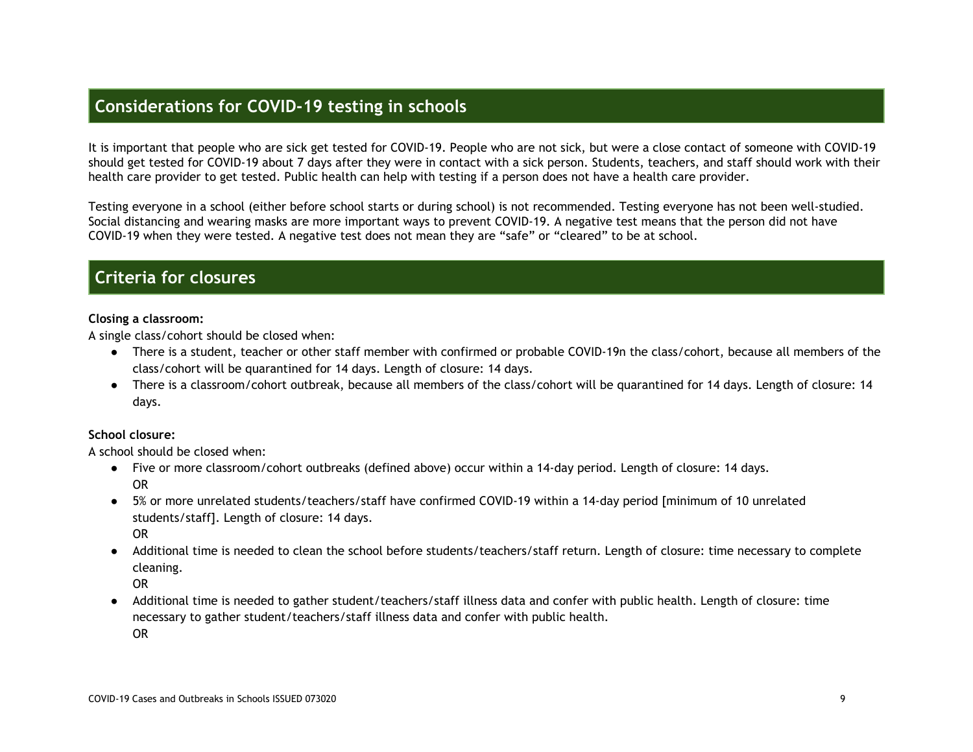# <span id="page-8-0"></span>**Considerations for COVID-19 testing in schools**

It is important that people who are sick get tested for COVID-19. People who are not sick, but were a close contact of someone with COVID-19 should get tested for COVID-19 about 7 days after they were in contact with a sick person. Students, teachers, and staff should work with their health care provider to get tested. Public health can help with testing if a person does not have a health care provider.

Testing everyone in a school (either before school starts or during school) is not recommended. Testing everyone has not been well-studied. Social distancing and wearing masks are more important ways to prevent COVID-19. A negative test means that the person did not have COVID-19 when they were tested. A negative test does not mean they are "safe" or "cleared" to be at school.

### <span id="page-8-1"></span>**Criteria for closures**

### **Closing a classroom:**

A single class/cohort should be closed when:

- There is a student, teacher or other staff member with confirmed or probable COVID-19n the class/cohort, because all members of the class/cohort will be quarantined for 14 days. Length of closure: 14 days.
- There is a classroom/cohort outbreak, because all members of the class/cohort will be quarantined for 14 days. Length of closure: 14 days.

### **School closure:**

A school should be closed when:

- Five or more classroom/cohort outbreaks (defined above) occur within a 14-day period. Length of closure: 14 days. OR
- 5% or more unrelated students/teachers/staff have confirmed COVID-19 within a 14-day period [minimum of 10 unrelated students/staff]. Length of closure: 14 days. OR
- Additional time is needed to clean the school before students/teachers/staff return. Length of closure: time necessary to complete cleaning.

OR

● Additional time is needed to gather student/teachers/staff illness data and confer with public health. Length of closure: time necessary to gather student/teachers/staff illness data and confer with public health.

OR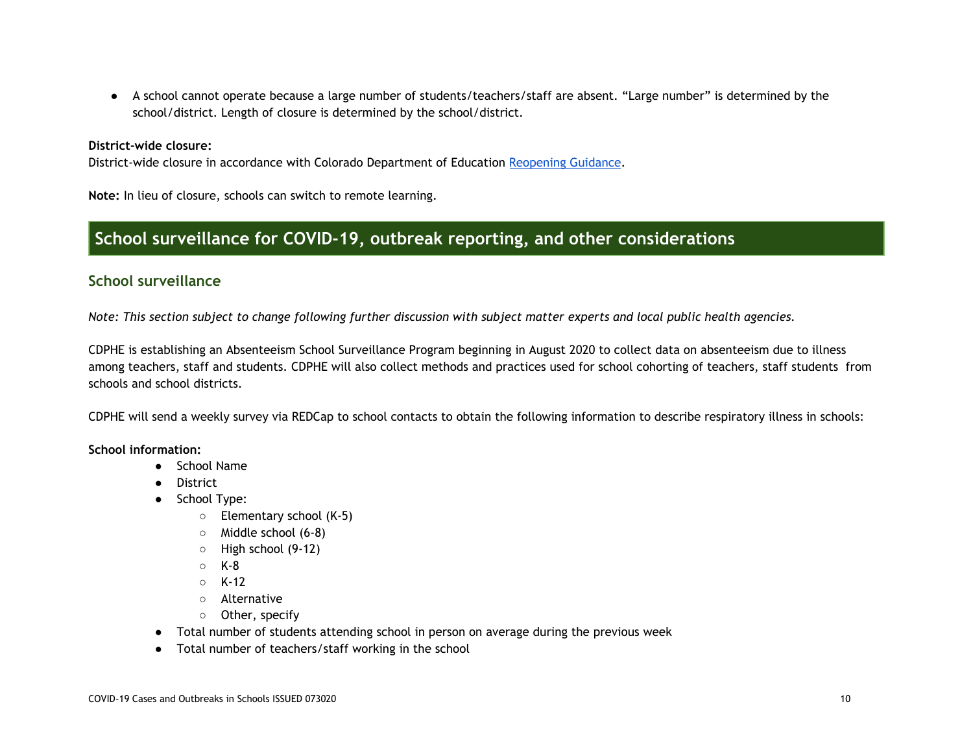● A school cannot operate because a large number of students/teachers/staff are absent. "Large number" is determined by the school/district. Length of closure is determined by the school/district.

#### **District-wide closure:**

District-wide closure in accordance with Colorado Department of Education [Reopening](http://www.cde.state.co.us/communications/20200720reopeningguidance) Guidance.

**Note:** In lieu of closure, schools can switch to remote learning.

# <span id="page-9-0"></span>**School surveillance for COVID-19, outbreak reporting, and other considerations**

### <span id="page-9-1"></span>**School surveillance**

Note: This section subject to change following further discussion with subject matter experts and local public health agencies.

CDPHE is establishing an Absenteeism School Surveillance Program beginning in August 2020 to collect data on absenteeism due to illness among teachers, staff and students. CDPHE will also collect methods and practices used for school cohorting of teachers, staff students from schools and school districts.

CDPHE will send a weekly survey via REDCap to school contacts to obtain the following information to describe respiratory illness in schools:

#### **School information:**

- School Name
- District
- School Type:
	- Elementary school (K-5)
	- Middle school (6-8)
	- High school (9-12)
	- $\circ$  K-8
	- K-12
	- Alternative
	- Other, specify
- Total number of students attending school in person on average during the previous week
- Total number of teachers/staff working in the school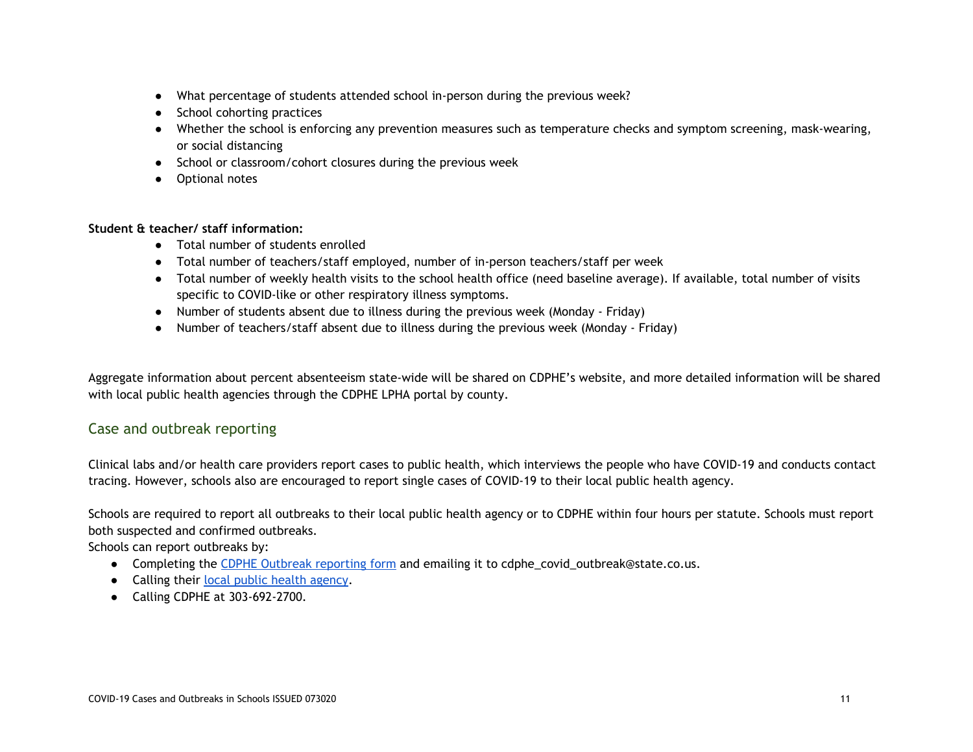- What percentage of students attended school in-person during the previous week?
- School cohorting practices
- Whether the school is enforcing any prevention measures such as temperature checks and symptom screening, mask-wearing, or social distancing
- School or classroom/cohort closures during the previous week
- Optional notes

### **Student & teacher/ staff information:**

- Total number of students enrolled
- Total number of teachers/staff employed, number of in-person teachers/staff per week
- Total number of weekly health visits to the school health office (need baseline average). If available, total number of visits specific to COVID-like or other respiratory illness symptoms.
- Number of students absent due to illness during the previous week (Monday Friday)
- Number of teachers/staff absent due to illness during the previous week (Monday Friday)

Aggregate information about percent absenteeism state-wide will be shared on CDPHE's website, and more detailed information will be shared with local public health agencies through the CDPHE LPHA portal by county.

### <span id="page-10-0"></span>Case and outbreak reporting

Clinical labs and/or health care providers report cases to public health, which interviews the people who have COVID-19 and conducts contact tracing. However, schools also are encouraged to report single cases of COVID-19 to their local public health agency.

Schools are required to report all outbreaks to their local public health agency or to CDPHE within four hours per statute. Schools must report both suspected and confirmed outbreaks.

Schools can report outbreaks by:

- Completing the CDPHE Outbreak [reporting](https://drive.google.com/file/d/1XedRlgn7JmeJD9gVhRgnPmpVlXsVm4hd/view) form and emailing it to cdphe\_covid\_outbreak@state.co.us.
- Calling their local public health [agency.](https://www.colorado.gov/pacific/cdphe-lpha/find-your-local-public-health-director)
- Calling CDPHE at 303-692-2700.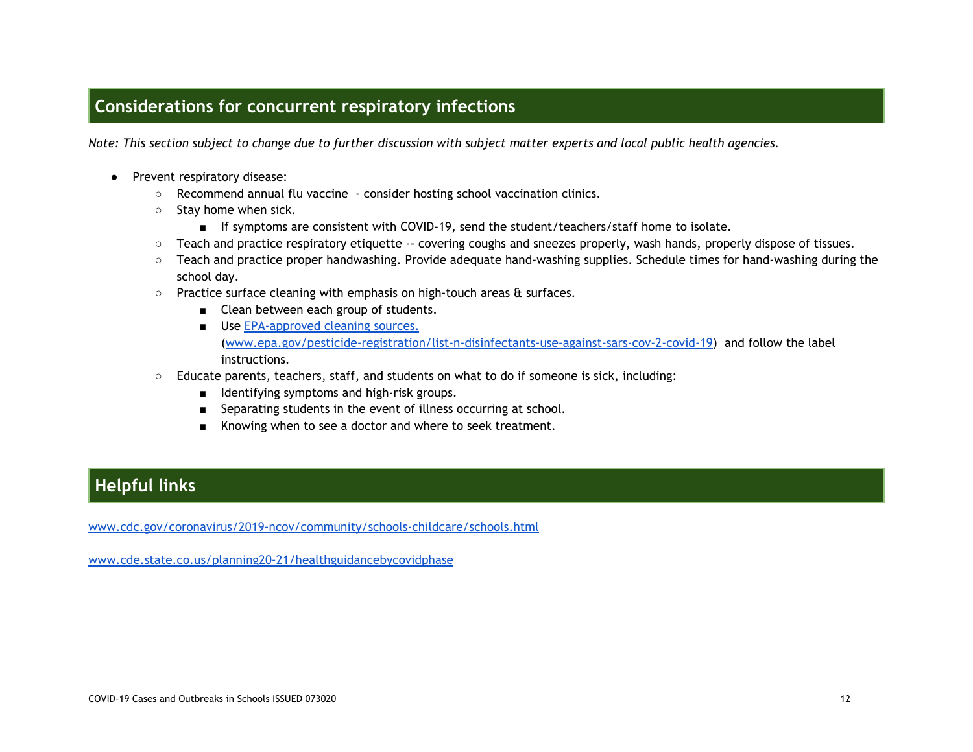## <span id="page-11-0"></span>**Considerations for concurrent respiratory infections**

Note: This section subject to change due to further discussion with subject matter experts and local public health agencies.

- Prevent respiratory disease:
	- Recommend annual flu vaccine consider hosting school vaccination clinics.
	- Stay home when sick.
		- If symptoms are consistent with COVID-19, send the student/teachers/staff home to isolate.
	- Teach and practice respiratory etiquette -- covering coughs and sneezes properly, wash hands, properly dispose of tissues.
	- Teach and practice proper handwashing. Provide adequate hand-washing supplies. Schedule times for hand-washing during the school day.
	- Practice surface cleaning with emphasis on high-touch areas & surfaces.
		- Clean between each group of students.
		- Use [EPA-approved](https://www.epa.gov/pesticide-registration/list-n-disinfectants-use-against-sars-cov-2-covid-19) cleaning sources. ([www.epa.gov/pesticide-registration/list-n-disinfectants-use-against-sars-cov-2-covid-19](https://www.epa.gov/pesticide-registration/list-n-disinfectants-use-against-sars-cov-2-covid-19)) and follow the label instructions.
	- Educate parents, teachers, staff, and students on what to do if someone is sick, including:
		- Identifying symptoms and high-risk groups.
		- Separating students in the event of illness occurring at school.
		- Knowing when to see a doctor and where to seek treatment.

# **Helpful links**

[www.cdc.gov/coronavirus/2019-ncov/community/schools-childcare/schools.html](https://www.cdc.gov/coronavirus/2019-ncov/community/schools-childcare/schools.html)

[www.cde.state.co.us/planning20-21/healthguidancebycovidphase](https://www.cde.state.co.us/planning20-21/healthguidancebycovidphase)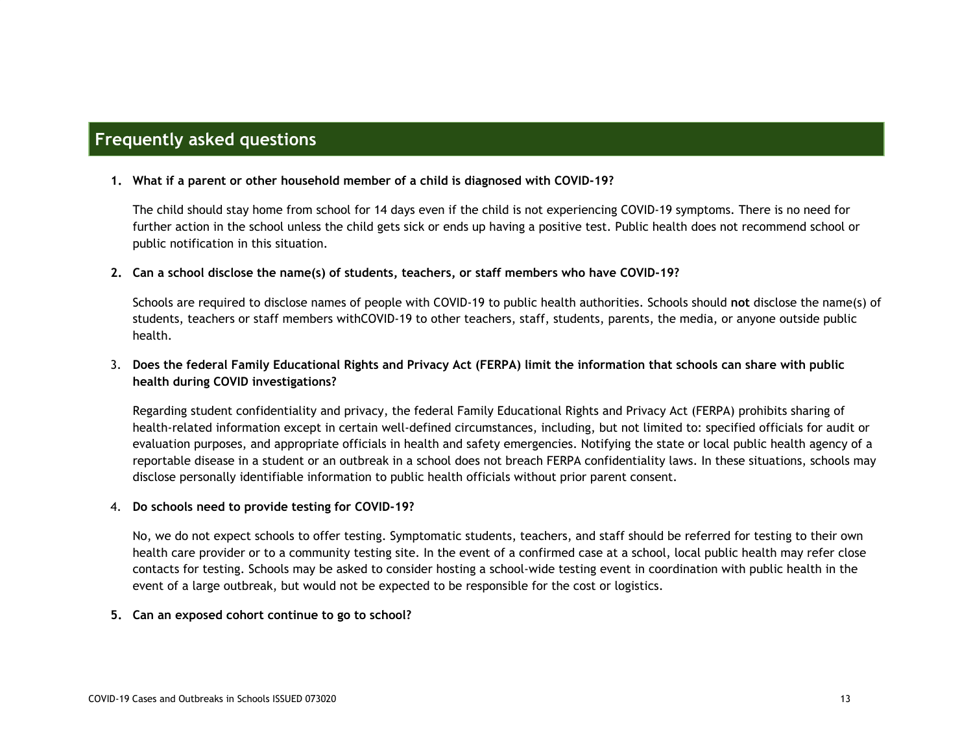### <span id="page-12-0"></span>**Frequently asked questions**

#### **1. What if a parent or other household member of a child is diagnosed with COVID-19?**

The child should stay home from school for 14 days even if the child is not experiencing COVID-19 symptoms. There is no need for further action in the school unless the child gets sick or ends up having a positive test. Public health does not recommend school or public notification in this situation.

### **2. Can a school disclose the name(s) of students, teachers, or staff members who have COVID-19?**

Schools are required to disclose names of people with COVID-19 to public health authorities. Schools should **not** disclose the name(s) of students, teachers or staff members withCOVID-19 to other teachers, staff, students, parents, the media, or anyone outside public health.

### 3. Does the federal Family Educational Rights and Privacy Act (FERPA) limit the information that schools can share with public **health during COVID investigations?**

Regarding student confidentiality and privacy, the federal Family Educational Rights and Privacy Act (FERPA) prohibits sharing of health-related information except in certain well-defined circumstances, including, but not limited to: specified officials for audit or evaluation purposes, and appropriate officials in health and safety emergencies. Notifying the state or local public health agency of a reportable disease in a student or an outbreak in a school does not breach FERPA confidentiality laws. In these situations, schools may disclose personally identifiable information to public health officials without prior parent consent.

#### 4. **Do schools need to provide testing for COVID-19?**

No, we do not expect schools to offer testing. Symptomatic students, teachers, and staff should be referred for testing to their own health care provider or to a community testing site. In the event of a confirmed case at a school, local public health may refer close contacts for testing. Schools may be asked to consider hosting a school-wide testing event in coordination with public health in the event of a large outbreak, but would not be expected to be responsible for the cost or logistics.

#### **5. Can an exposed cohort continue to go to school?**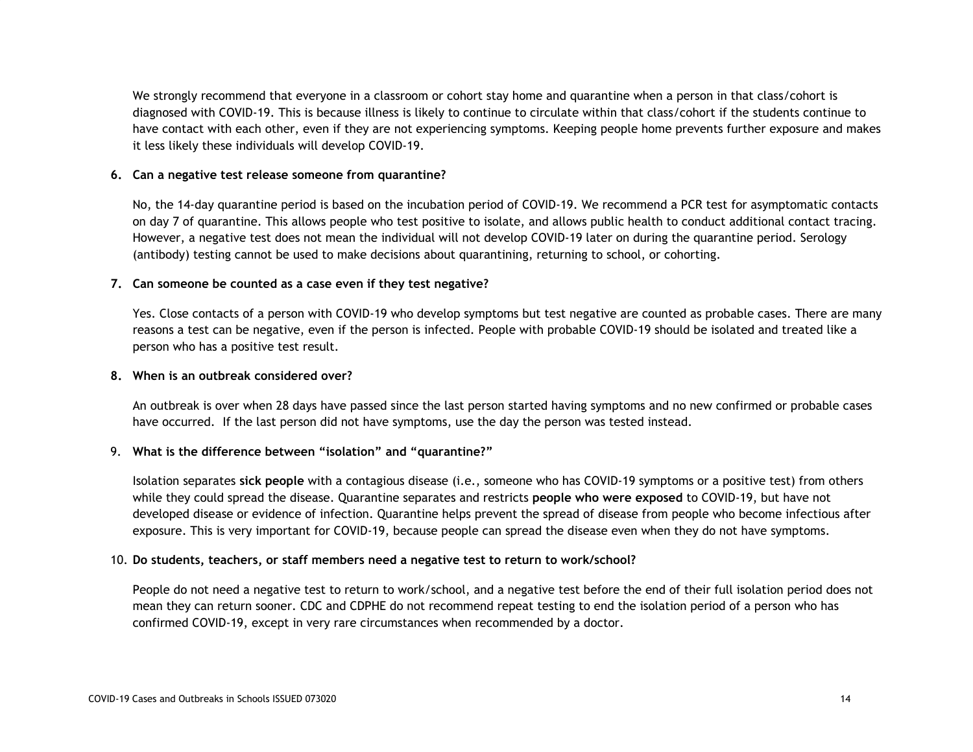We strongly recommend that everyone in a classroom or cohort stay home and quarantine when a person in that class/cohort is diagnosed with COVID-19. This is because illness is likely to continue to circulate within that class/cohort if the students continue to have contact with each other, even if they are not experiencing symptoms. Keeping people home prevents further exposure and makes it less likely these individuals will develop COVID-19.

### **6. Can a negative test release someone from quarantine?**

No, the 14-day quarantine period is based on the incubation period of COVID-19. We recommend a PCR test for asymptomatic contacts on day 7 of quarantine. This allows people who test positive to isolate, and allows public health to conduct additional contact tracing. However, a negative test does not mean the individual will not develop COVID-19 later on during the quarantine period. Serology (antibody) testing cannot be used to make decisions about quarantining, returning to school, or cohorting.

### **7. Can someone be counted as a case even if they test negative?**

Yes. Close contacts of a person with COVID-19 who develop symptoms but test negative are counted as probable cases. There are many reasons a test can be negative, even if the person is infected. People with probable COVID-19 should be isolated and treated like a person who has a positive test result.

#### **8. When is an outbreak considered over?**

An outbreak is over when 28 days have passed since the last person started having symptoms and no new confirmed or probable cases have occurred. If the last person did not have symptoms, use the day the person was tested instead.

#### 9. **What is the difference between "isolation" and "quarantine?"**

Isolation separates **sick people** with a contagious disease (i.e., someone who has COVID-19 symptoms or a positive test) from others while they could spread the disease. Quarantine separates and restricts **people who were exposed** to COVID-19, but have not developed disease or evidence of infection. Quarantine helps prevent the spread of disease from people who become infectious after exposure. This is very important for COVID-19, because people can spread the disease even when they do not have symptoms.

#### 10. **Do students, teachers, or staff members need a negative test to return to work/school?**

People do not need a negative test to return to work/school, and a negative test before the end of their full isolation period does not mean they can return sooner. CDC and CDPHE do not recommend repeat testing to end the isolation period of a person who has confirmed COVID-19, except in very rare circumstances when recommended by a doctor.